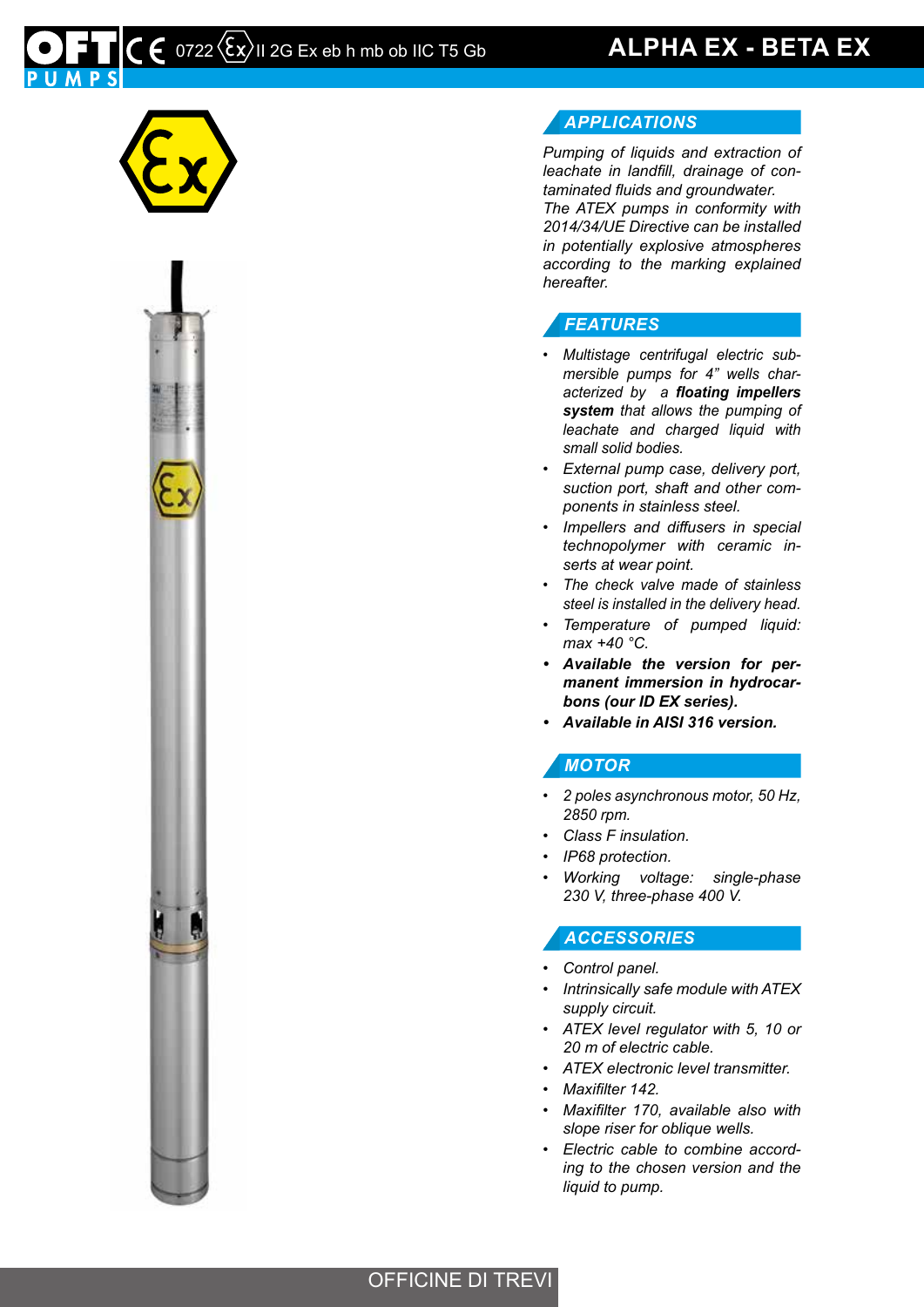# $\mathcal{L}$   $\epsilon$  0722  $\langle \epsilon_{\mathsf{X}} \rangle$ II 2G Ex eb h mb ob IIC T5 Gb **ALPHA EX - BETA EX**





#### *APPLICATIONS*

*Pumping of liquids and extraction of leachate in landfill, drainage of contaminated fluids and groundwater. The ATEX pumps in conformity with 2014/34/UE Directive can be installed in potentially explosive atmospheres according to the marking explained* 

#### *FEATURES*

*hereafter.*

- *• Multistage centrifugal electric submersible pumps for 4" wells characterized by a floating impellers system that allows the pumping of leachate and charged liquid with small solid bodies.*
- *• External pump case, delivery port, suction port, shaft and other components in stainless steel.*
- *• Impellers and diffusers in special technopolymer with ceramic inserts at wear point.*
- *• The check valve made of stainless steel is installed in the delivery head.*
- *• Temperature of pumped liquid: max +40 °C.*
- *• Available the version for permanent immersion in hydrocarbons (our ID EX series).*
- *• Available in AISI 316 version.*

#### *MOTOR*

- *• 2 poles asynchronous motor, 50 Hz, 2850 rpm.*
- *• Class F insulation.*
- *• IP68 protection.*
- *• Working voltage: single-phase 230 V, three-phase 400 V.*

#### *ACCESSORIES*

- *• Control panel.*
- *• Intrinsically safe module with ATEX supply circuit.*
- *• ATEX level regulator with 5, 10 or 20 m of electric cable.*
- *• ATEX electronic level transmitter.*
- *• Maxifilter 142.*
- *• Maxifilter 170, available also with slope riser for oblique wells.*
- *• Electric cable to combine according to the chosen version and the liquid to pump.*

#### OFFICINE DI TREVI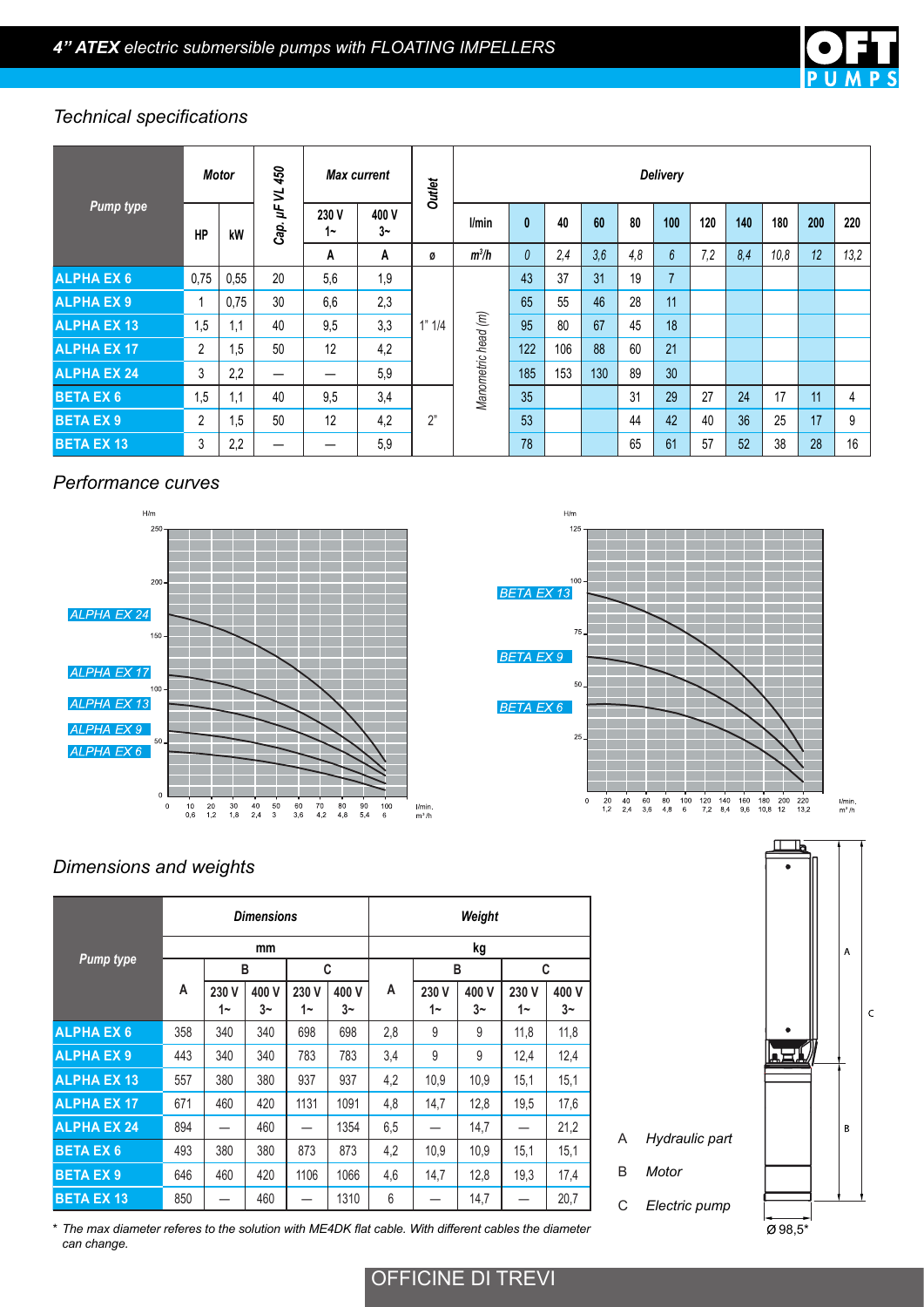

### *Technical specifications*

|                    |                | Motor | 450<br>5          | <b>Max current</b> |             | <b>Outlet</b> | <b>Delivery</b>     |              |     |     |     |                 |     |     |      |     |      |
|--------------------|----------------|-------|-------------------|--------------------|-------------|---------------|---------------------|--------------|-----|-----|-----|-----------------|-----|-----|------|-----|------|
| <b>Pump type</b>   | <b>HP</b>      | kW    | $\vec{r}$<br>Cap. | 230 V<br>1~        | 400 V<br>3~ |               | l/min               | $\mathbf{0}$ | 40  | 60  | 80  | 100             | 120 | 140 | 180  | 200 | 220  |
|                    |                |       |                   | A                  | A           | Ø             | $m^3/h$             | $\theta$     | 2,4 | 3,6 | 4,8 | $6\overline{6}$ | 7,2 | 8,4 | 10,8 | 12  | 13,2 |
| <b>ALPHA EX 6</b>  | 0.75           | 0,55  | 20                | 5,6                | 1,9         |               |                     | 43           | 37  | 31  | 19  | 7               |     |     |      |     |      |
| <b>ALPHAEX9</b>    |                | 0.75  | 30                | 6,6                | 2,3         | 1" 1/4        | Manometric head (m) | 65           | 55  | 46  | 28  | 11              |     |     |      |     |      |
| <b>ALPHA EX 13</b> | 1,5            | 1.1   | 40                | 9,5                | 3,3         |               |                     | 95           | 80  | 67  | 45  | 18              |     |     |      |     |      |
| <b>ALPHA EX 17</b> | $\overline{2}$ | 1.5   | 50                | 12                 | 4,2         |               |                     | 122          | 106 | 88  | 60  | 21              |     |     |      |     |      |
| <b>ALPHA EX 24</b> | 3              | 2,2   |                   | —                  | 5,9         |               |                     | 185          | 153 | 130 | 89  | 30 <sup>°</sup> |     |     |      |     |      |
| <b>BETA EX 6</b>   | 1,5            | 1.1   | 40                | 9,5                | 3,4         |               |                     | 35           |     |     | 31  | 29              | 27  | 24  | 17   | 11  | 4    |
| <b>BETA EX 9</b>   | $\overline{2}$ | 1.5   | 50                | 12                 | 4,2         | 2"            |                     | 53           |     |     | 44  | 42              | 40  | 36  | 25   | 17  | 9    |
| <b>BETA EX 13</b>  | 3              | 2,2   |                   |                    | 5,9         |               |                     | 78           |     |     | 65  | 61              | 57  | 52  | 38   | 28  | 16   |

#### *Performance curves*





A *Hydraulic part*

C *Electric pump*

B *Motor*

## *Dimensions and weights*

|                    |     |             | <b>Dimensions</b> |             |             | Weight |             |             |             |             |  |  |  |
|--------------------|-----|-------------|-------------------|-------------|-------------|--------|-------------|-------------|-------------|-------------|--|--|--|
|                    |     |             | mm                |             |             | kg     |             |             |             |             |  |  |  |
| <b>Pump type</b>   |     | B           |                   | C           |             |        |             | B           | C           |             |  |  |  |
|                    | A   | 230 V<br>1∼ | 400 V<br>3~       | 230 V<br>1∼ | 400 V<br>3~ | A      | 230 V<br>1∼ | 400 V<br>3~ | 230 V<br>1∼ | 400 V<br>3~ |  |  |  |
| <b>ALPHA EX 6</b>  | 358 | 340         | 340               | 698         | 698         | 2,8    | 9           | 9           | 11,8        | 11,8        |  |  |  |
| <b>ALPHAEX9</b>    | 443 | 340         | 340               | 783         | 783         | 3,4    | 9           | 9           | 12,4        | 12,4        |  |  |  |
| <b>ALPHA EX 13</b> | 557 | 380         | 380               | 937         | 937         | 4,2    | 10,9        | 10,9        | 15,1        | 15,1        |  |  |  |
| <b>ALPHA EX 17</b> | 671 | 460         | 420               | 1131        | 1091        | 4,8    | 14,7        | 12,8        | 19,5        | 17,6        |  |  |  |
| <b>ALPHA EX 24</b> | 894 |             | 460               |             | 1354        | 6,5    |             | 14,7        |             | 21,2        |  |  |  |
| <b>BETA EX 6</b>   | 493 | 380         | 380               | 873         | 873         | 4,2    | 10,9        | 10,9        | 15,1        | 15,1        |  |  |  |
| <b>BETA EX9</b>    | 646 | 460         | 420               | 1106        | 1066        | 4,6    | 14,7        | 12,8        | 19,3        | 17,4        |  |  |  |
| <b>BETA EX 13</b>  | 850 |             | 460               |             | 1310        | 6      |             | 14,7        |             | 20,7        |  |  |  |

\* *The max diameter referes to the solution with ME4DK flat cable. With different cables the diameter can change.*



OFFICINE DI TREVI